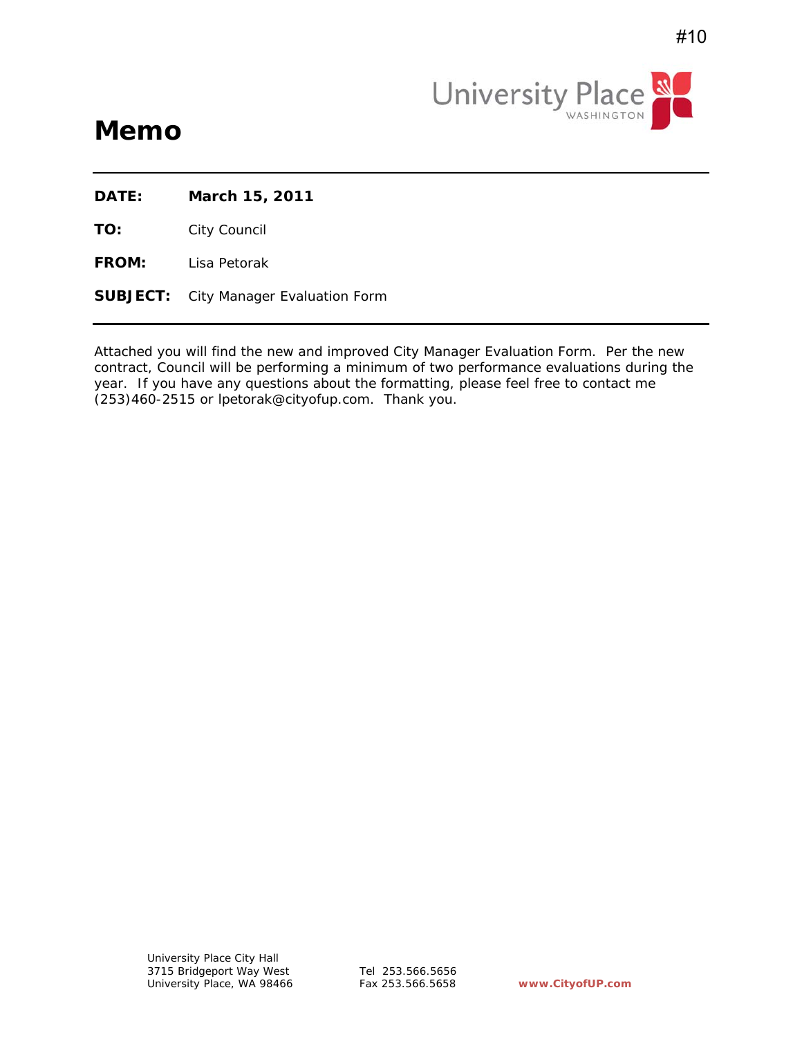

# **Memo**

**DATE: March 15, 2011**

**TO:** City Council

**FROM:** Lisa Petorak

**SUBJECT:** City Manager Evaluation Form

Attached you will find the new and improved City Manager Evaluation Form. Per the new contract, Council will be performing a minimum of two performance evaluations during the year. If you have any questions about the formatting, please feel free to contact me (253)460-2515 or lpetorak@cityofup.com. Thank you.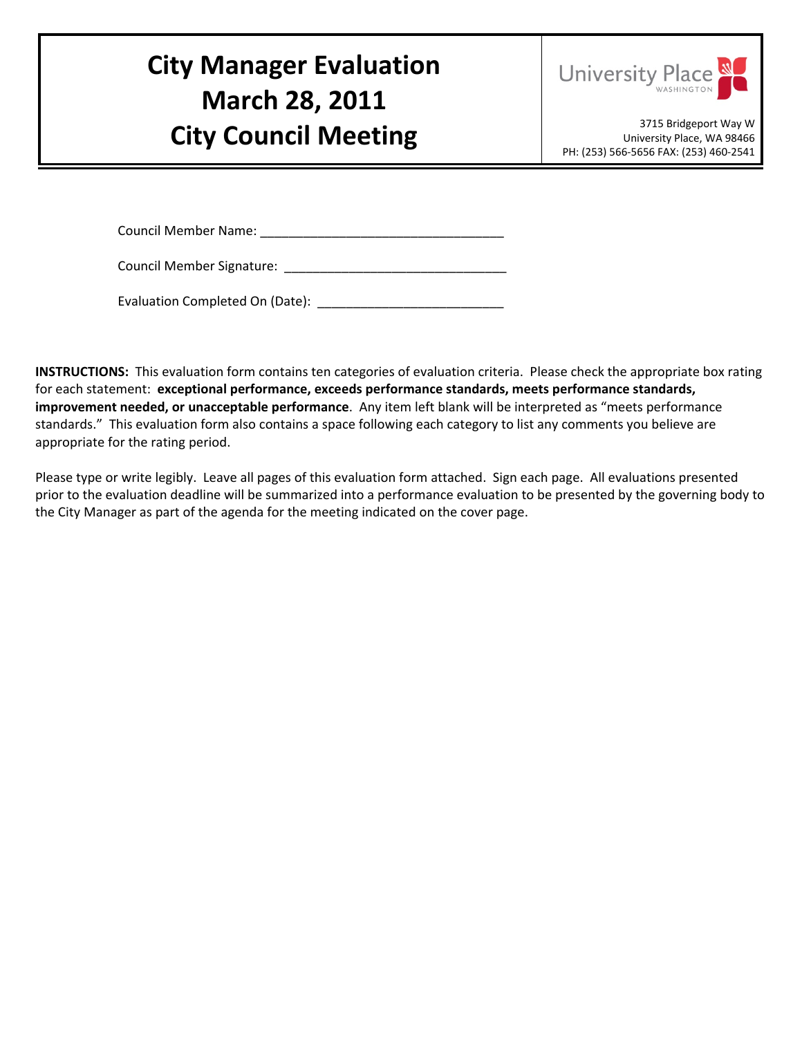# **City Manager Evaluation March 28, 2011 City Council Meeting City Council Meeting**



University Place, WA 98466 PH: (253) 566‐5656 FAX: (253) 460‐2541

Council Member Name: \_\_\_\_\_\_\_\_\_\_\_\_\_\_\_\_\_\_\_\_\_\_\_\_\_\_\_\_\_\_\_\_\_\_

Council Member Signature: \_\_\_\_\_\_\_\_\_\_\_\_\_\_\_\_\_\_\_\_\_\_\_\_\_\_\_\_\_\_\_

Evaluation Completed On (Date): \_\_\_\_\_\_\_\_\_\_\_\_\_\_\_\_\_\_\_\_\_\_\_\_\_\_

**INSTRUCTIONS:** This evaluation form contains ten categories of evaluation criteria. Please check the appropriate box rating for each statement: **exceptional performance, exceeds performance standards, meets performance standards, improvement needed, or unacceptable performance**. Any item left blank will be interpreted as "meets performance standards." This evaluation form also contains a space following each category to list any comments you believe are appropriate for the rating period.

Please type or write legibly. Leave all pages of this evaluation form attached. Sign each page. All evaluations presented prior to the evaluation deadline will be summarized into a performance evaluation to be presented by the governing body to the City Manager as part of the agenda for the meeting indicated on the cover page.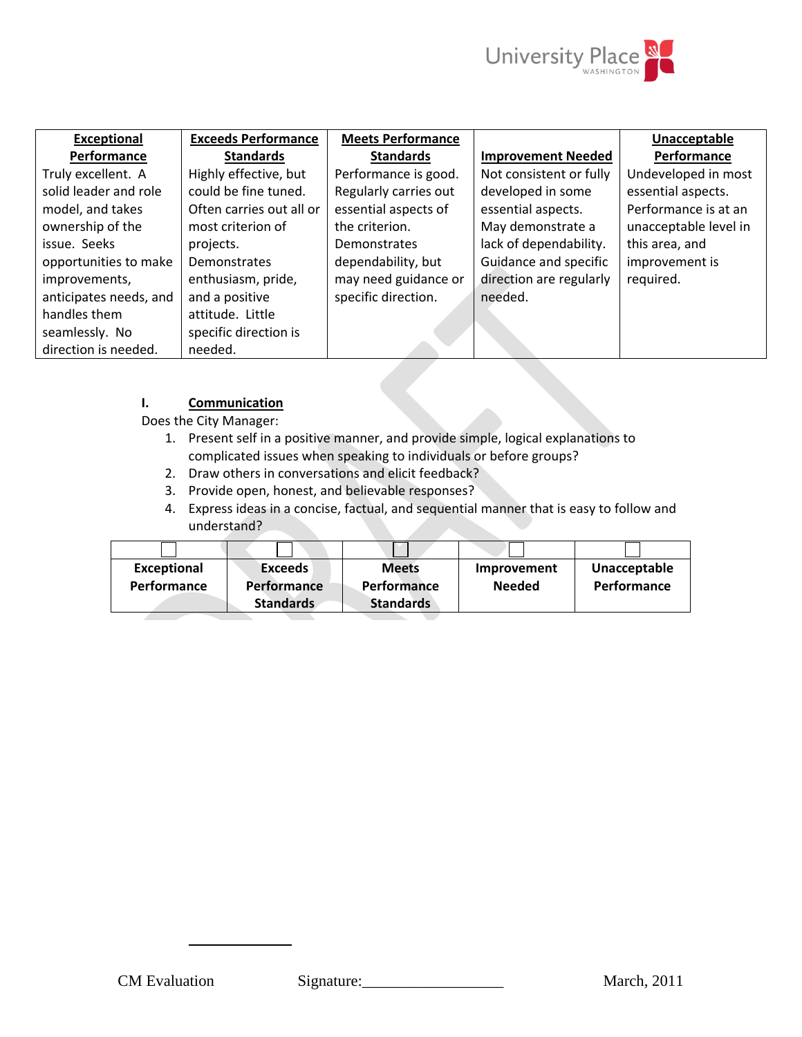

| <b>Exceeds Performance</b><br><b>Meets Performance</b><br><b>Exceptional</b><br>Unacceptable<br>Performance<br><b>Standards</b><br><b>Standards</b><br>Performance<br><b>Improvement Needed</b><br>Highly effective, but<br>Undeveloped in most<br>Performance is good.<br>Not consistent or fully<br>Truly excellent. A<br>solid leader and role<br>could be fine tuned.<br>Regularly carries out<br>developed in some<br>essential aspects. |
|-----------------------------------------------------------------------------------------------------------------------------------------------------------------------------------------------------------------------------------------------------------------------------------------------------------------------------------------------------------------------------------------------------------------------------------------------|
|                                                                                                                                                                                                                                                                                                                                                                                                                                               |
|                                                                                                                                                                                                                                                                                                                                                                                                                                               |
|                                                                                                                                                                                                                                                                                                                                                                                                                                               |
| Performance is at an<br>Often carries out all or<br>essential aspects of<br>model, and takes<br>essential aspects.                                                                                                                                                                                                                                                                                                                            |
| May demonstrate a<br>ownership of the<br>unacceptable level in<br>most criterion of<br>the criterion.                                                                                                                                                                                                                                                                                                                                         |
| lack of dependability.<br>this area, and<br>issue. Seeks<br>projects.<br>Demonstrates                                                                                                                                                                                                                                                                                                                                                         |
| Guidance and specific<br>dependability, but<br>improvement is<br>opportunities to make<br>Demonstrates                                                                                                                                                                                                                                                                                                                                        |
| may need guidance or<br>direction are regularly<br>enthusiasm, pride,<br>required.<br>improvements,                                                                                                                                                                                                                                                                                                                                           |
| specific direction.<br>anticipates needs, and<br>and a positive<br>needed.                                                                                                                                                                                                                                                                                                                                                                    |
| handles them<br>attitude. Little                                                                                                                                                                                                                                                                                                                                                                                                              |
| specific direction is<br>seamlessly. No                                                                                                                                                                                                                                                                                                                                                                                                       |
| direction is needed.<br>needed.                                                                                                                                                                                                                                                                                                                                                                                                               |

# **I. Communication**

Does the City Manager:

- 1. Present self in a positive manner, and provide simple, logical explanations to complicated issues when speaking to individuals or before groups?
- 2. Draw others in conversations and elicit feedback?
- 3. Provide open, honest, and believable responses?
- 4. Express ideas in a concise, factual, and sequential manner that is easy to follow and understand?

| Exceptional | Exceeds            | <b>Meets</b>     | Improvement   | Unacceptable       |
|-------------|--------------------|------------------|---------------|--------------------|
| Performance | <b>Performance</b> | Performance      | <b>Needed</b> | <b>Performance</b> |
|             | <b>Standards</b>   | <b>Standards</b> |               |                    |

**II. Council Relations**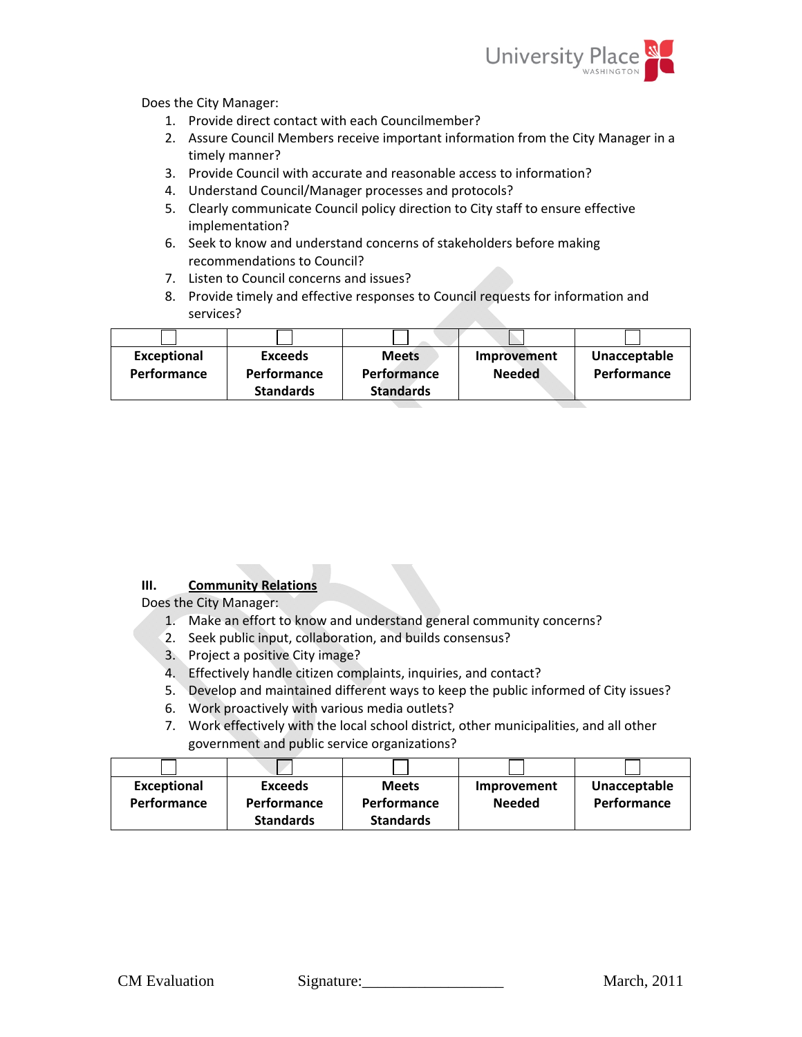

Does the City Manager:

- 1. Provide direct contact with each Councilmember?
- 2. Assure Council Members receive important information from the City Manager in a timely manner?
- 3. Provide Council with accurate and reasonable access to information?
- 4. Understand Council/Manager processes and protocols?
- 5. Clearly communicate Council policy direction to City staff to ensure effective implementation?
- 6. Seek to know and understand concerns of stakeholders before making recommendations to Council?
- 7. Listen to Council concerns and issues?
- 8. Provide timely and effective responses to Council requests for information and services?

| <b>Exceptional</b> | <b>Exceeds</b>   | <b>Meets</b>       | Improvement   | Unacceptable       |
|--------------------|------------------|--------------------|---------------|--------------------|
| <b>Performance</b> | Performance      | <b>Performance</b> | <b>Needed</b> | <b>Performance</b> |
|                    | <b>Standards</b> | <b>Standards</b>   |               |                    |

# **III. Community Relations**

Does the City Manager:

- 1. Make an effort to know and understand general community concerns?
- 2. Seek public input, collaboration, and builds consensus?
- 3. Project a positive City image?
- 4. Effectively handle citizen complaints, inquiries, and contact?
- 5. Develop and maintained different ways to keep the public informed of City issues?
- 6. Work proactively with various media outlets?
- 7. Work effectively with the local school district, other municipalities, and all other government and public service organizations?

| <b>Exceptional</b> | <b>Exceeds</b>     | <b>Meets</b>     | Improvement   | Unacceptable |
|--------------------|--------------------|------------------|---------------|--------------|
| Performance        | <b>Performance</b> | Performance      | <b>Needed</b> | Performance  |
|                    | <b>Standards</b>   | <b>Standards</b> |               |              |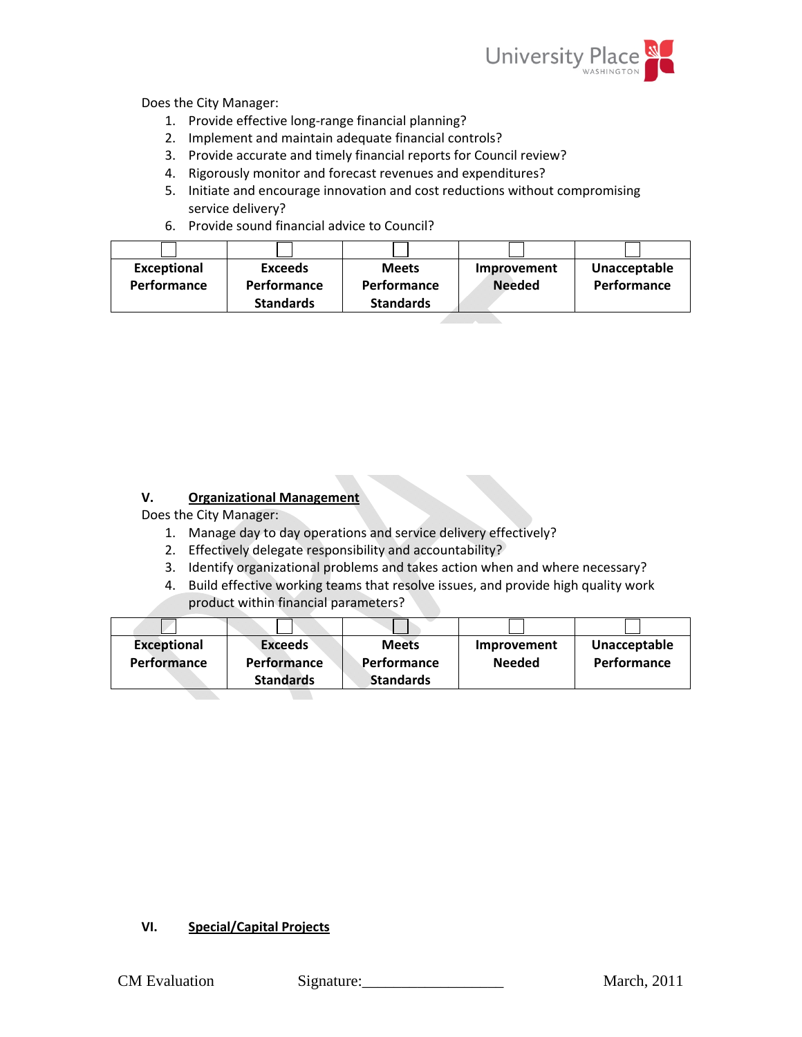

Does the City Manager:

- 1. Provide effective long-range financial planning?
- 2. Implement and maintain adequate financial controls?
- 3. Provide accurate and timely financial reports for Council review?
- 4. Rigorously monitor and forecast revenues and expenditures?
- 5. Initiate and encourage innovation and cost reductions without compromising service delivery?
- 6. Provide sound financial advice to Council?

| <b>Exceptional</b><br>Performance | <b>Exceeds</b><br>Performance<br><b>Standards</b> | <b>Meets</b><br>Performance<br><b>Standards</b> | Improvement<br><b>Needed</b> | Unacceptable<br>Performance |
|-----------------------------------|---------------------------------------------------|-------------------------------------------------|------------------------------|-----------------------------|
|                                   |                                                   |                                                 |                              |                             |

#### **V. Organizational Management**

Does the City Manager:

- 1. Manage day to day operations and service delivery effectively?
- 2. Effectively delegate responsibility and accountability?
- 3. Identify organizational problems and takes action when and where necessary?
- 4. Build effective working teams that resolve issues, and provide high quality work product within financial parameters?

| <b>Exceptional</b> | <b>Exceeds</b>     | <b>Meets</b>     | Improvement   | Unacceptable       |
|--------------------|--------------------|------------------|---------------|--------------------|
| Performance        | <b>Performance</b> | Performance      | <b>Needed</b> | <b>Performance</b> |
|                    | <b>Standards</b>   | <b>Standards</b> |               |                    |

#### **VI. Special/Capital Projects**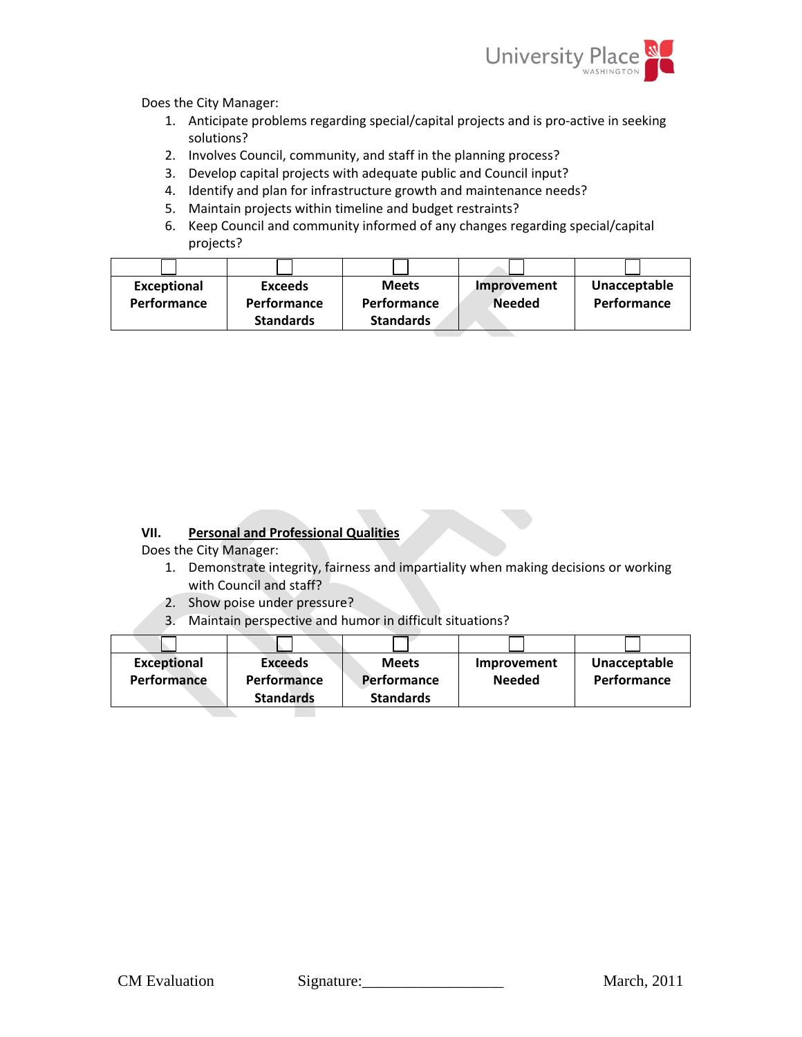

Does the City Manager:

- 1. Anticipate problems regarding special/capital projects and is pro‐active in seeking solutions?
- 2. Involves Council, community, and staff in the planning process?
- 3. Develop capital projects with adequate public and Council input?
- 4. Identify and plan for infrastructure growth and maintenance needs?
- 5. Maintain projects within timeline and budget restraints?
- 6. Keep Council and community informed of any changes regarding special/capital projects?

| <b>Exceptional</b> | <b>Exceeds</b>     | <b>Meets</b>       | Improvement   | Unacceptable       |
|--------------------|--------------------|--------------------|---------------|--------------------|
| <b>Performance</b> | <b>Performance</b> | <b>Performance</b> | <b>Needed</b> | <b>Performance</b> |
|                    | <b>Standards</b>   | <b>Standards</b>   |               |                    |

#### **VII. Personal and Professional Qualities**

Does the City Manager:

- 1. Demonstrate integrity, fairness and impartiality when making decisions or working with Council and staff?
- 2. Show poise under pressure?
- 3. Maintain perspective and humor in difficult situations?

| <b>Exceptional</b> | <b>Exceeds</b>   | <b>Meets</b>       | Improvement   | Unacceptable       |
|--------------------|------------------|--------------------|---------------|--------------------|
| Performance        | Performance      | <b>Performance</b> | <b>Needed</b> | <b>Performance</b> |
|                    | <b>Standards</b> | <b>Standards</b>   |               |                    |
|                    |                  |                    |               |                    |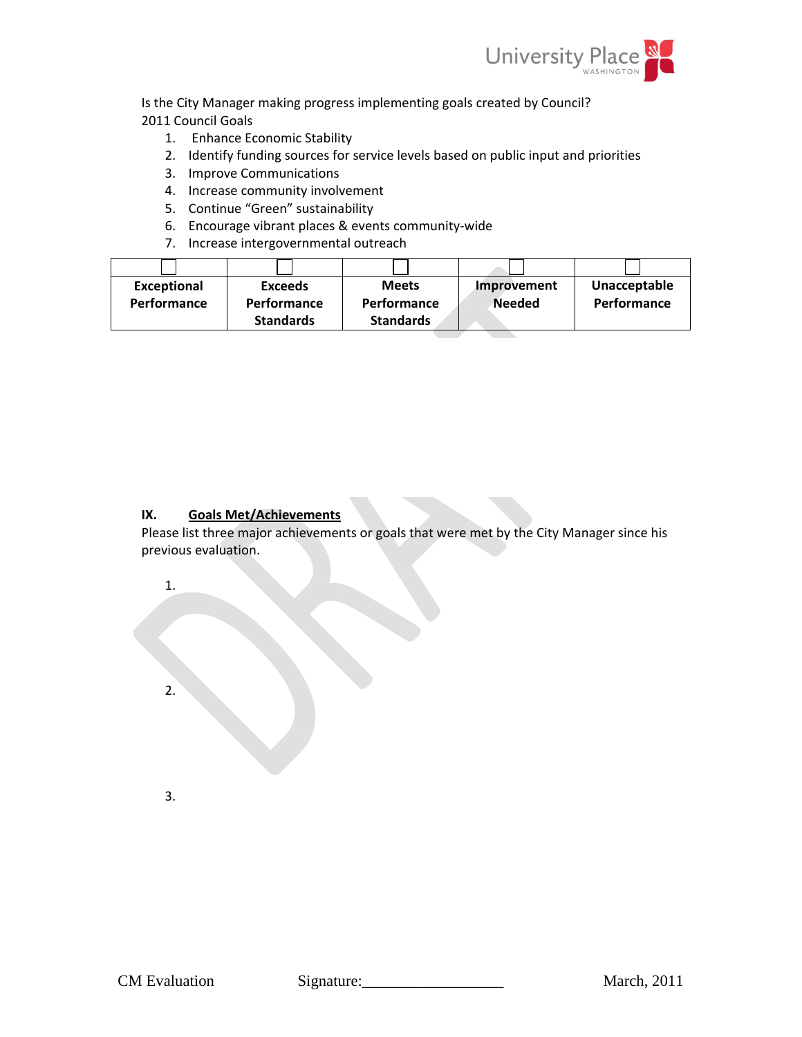

Is the City Manager making progress implementing goals created by Council? 2011 Council Goals

- 1. Enhance Economic Stability
- 2. Identify funding sources for service levels based on public input and priorities
- 3. Improve Communications
- 4. Increase community involvement
- 5. Continue "Green" sustainability
- 6. Encourage vibrant places & events community‐wide
- 7. Increase intergovernmental outreach

| <b>Exceptional</b> | <b>Exceeds</b>     | <b>Meets</b>       | Improvement   | Unacceptable |
|--------------------|--------------------|--------------------|---------------|--------------|
| <b>Performance</b> | <b>Performance</b> | <b>Performance</b> | <b>Needed</b> | Performance  |
|                    | <b>Standards</b>   | <b>Standards</b>   |               |              |

#### **IX. Goals Met/Achievements**

Please list three major achievements or goals that were met by the City Manager since his previous evaluation.